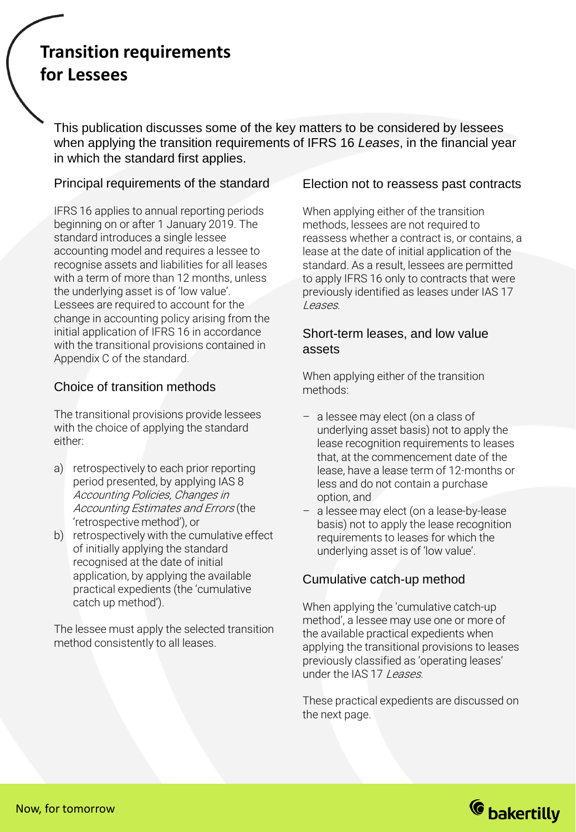# **Transition requirements for Lessees**

This publication discusses some of the key matters to be considered by lessees when applying the transition requirements of IFRS 16 *Leases*, in the financial year in which the standard first applies.

# Principal requirements of the standard

IFRS 16 applies to annual reporting periods beginning on or after 1 January 2019. The standard introduces a single lessee accounting model and requires a lessee to recognise assets and liabilities for all leases with a term of more than 12 months, unless the underlying asset is of 'low value'. Lessees are required to account for the change in accounting policy arising from the initial application of IFRS 16 in accordance with the transitional provisions contained in Appendix C of the standard.

# Choice of transition methods

The transitional provisions provide lessees with the choice of applying the standard either:

- a) retrospectively to each prior reporting period presented, by applying IAS 8 Accounting Policies, Changes in Accounting Estimates and Errors (the 'retrospective method'), or
- b) retrospectively with the cumulative effect of initially applying the standard recognised at the date of initial application, by applying the available practical expedients (the 'cumulative catch up method').

The lessee must apply the selected transition method consistently to all leases.

## Election not to reassess past contracts

When applying either of the transition methods, lessees are not required to reassess whether a contract is, or contains, a lease at the date of initial application of the standard. As a result, lessees are permitted to apply IFRS 16 only to contracts that were previously identified as leases under IAS 17 Leases.

## Short-term leases, and low value assets

When applying either of the transition methods:

- a lessee may elect (on a class of underlying asset basis) not to apply the lease recognition requirements to leases that, at the commencement date of the lease, have a lease term of 12-months or less and do not contain a purchase option, and
- a lessee may elect (on a lease-by-lease basis) not to apply the lease recognition requirements to leases for which the underlying asset is of 'low value'.

# Cumulative catch-up method

When applying the 'cumulative catch-up method', a lessee may use one or more of the available practical expedients when applying the transitional provisions to leases previously classified as 'operating leases' under the IAS 17 Leases.

These practical expedients are discussed on the next page.